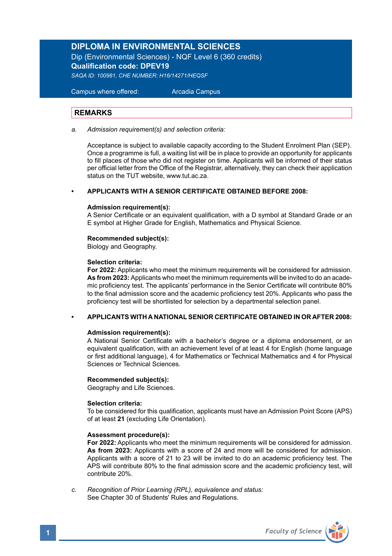# **DIPLOMA IN ENVIRONMENTAL SCIENCES**

Dip (Environmental Sciences) - NQF Level 6 (360 credits) **Qualification code: DPEV19** *SAQA ID: 100981, CHE NUMBER: H16/14271/HEQSF*

 Campus where offered: Arcadia Campus

# **REMARKS**

*a. Admission requirement(s) and selection criteria:* 

 Acceptance is subject to available capacity according to the Student Enrolment Plan (SEP). Once a programme is full, a waiting list will be in place to provide an opportunity for applicants to fill places of those who did not register on time. Applicants will be informed of their status per official letter from the Office of the Registrar, alternatively, they can check their application status on the TUT website, www.tut.ac.za.

# **• APPLICANTS WITH A SENIOR CERTIFICATE OBTAINED BEFORE 2008:**

### **Admission requirement(s):**

A Senior Certificate or an equivalent qualification, with a D symbol at Standard Grade or an E symbol at Higher Grade for English, Mathematics and Physical Science.

### **Recommended subject(s):**

Biology and Geography.

### **Selection criteria:**

**For 2022:** Applicants who meet the minimum requirements will be considered for admission. **As from 2023:** Applicants who meet the minimum requirements will be invited to do an academic proficiency test. The applicants' performance in the Senior Certificate will contribute 80% to the final admission score and the academic proficiency test 20%. Applicants who pass the proficiency test will be shortlisted for selection by a departmental selection panel.

# **• APPLICANTS WITH A NATIONAL SENIOR CERTIFICATE OBTAINED IN OR AFTER 2008:**

# **Admission requirement(s):**

A National Senior Certificate with a bachelor's degree or a diploma endorsement, or an equivalent qualification, with an achievement level of at least 4 for English (home language or first additional language), 4 for Mathematics or Technical Mathematics and 4 for Physical Sciences or Technical Sciences.

# **Recommended subject(s):**

Geography and Life Sciences.

# **Selection criteria:**

To be considered for this qualification, applicants must have an Admission Point Score (APS) of at least **21** (excluding Life Orientation).

### **Assessment procedure(s):**

 **For 2022:** Applicants who meet the minimum requirements will be considered for admission. **As from 2023:** Applicants with a score of 24 and more will be considered for admission. Applicants with a score of 21 to 23 will be invited to do an academic proficiency test. The APS will contribute 80% to the final admission score and the academic proficiency test, will contribute 20%.

*c. Recognition of Prior Learning (RPL), equivalence and status:* See Chapter 30 of Students' Rules and Regulations.

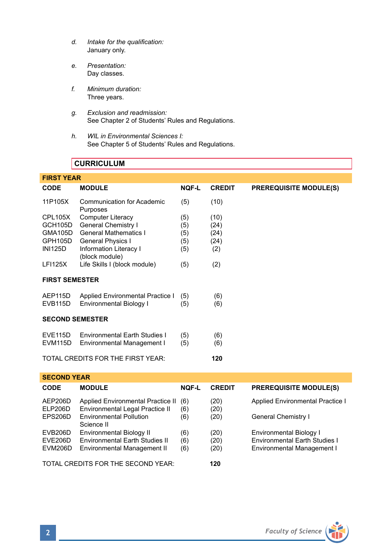- *d. Intake for the qualification:* January only.
- *e. Presentation:* Day classes.
- *f. Minimum duration:* Three years.
- *g. Exclusion and readmission:* See Chapter 2 of Students' Rules and Regulations.
- *h. WIL in Environmental Sciences I:* See Chapter 5 of Students' Rules and Regulations.

# **CURRICULUM**

| <b>FIRST YEAR</b>                        |                                          |              |               |                               |  |  |  |
|------------------------------------------|------------------------------------------|--------------|---------------|-------------------------------|--|--|--|
| <b>CODE</b>                              | <b>MODULE</b>                            | <b>NOF-L</b> | <b>CREDIT</b> | <b>PREREQUISITE MODULE(S)</b> |  |  |  |
| 11P105X                                  | Communication for Academic<br>Purposes   | (5)          | (10)          |                               |  |  |  |
| CPL105X                                  | <b>Computer Literacy</b>                 | (5)          | (10)          |                               |  |  |  |
| GCH105D                                  | General Chemistry I                      | (5)          | (24)          |                               |  |  |  |
| GMA105D                                  | <b>General Mathematics I</b>             | (5)          | (24)          |                               |  |  |  |
| GPH105D                                  | <b>General Physics I</b>                 | (5)          | (24)          |                               |  |  |  |
| <b>INI125D</b>                           | Information Literacy I<br>(block module) | (5)          | (2)           |                               |  |  |  |
| <b>LFI125X</b>                           | Life Skills I (block module)             | (5)          | (2)           |                               |  |  |  |
| <b>FIRST SEMESTER</b>                    |                                          |              |               |                               |  |  |  |
| AEP115D                                  | Applied Environmental Practice I         | (5)          | (6)           |                               |  |  |  |
| <b>EVB115D</b>                           | Environmental Biology I                  | (5)          | (6)           |                               |  |  |  |
| <b>SECOND SEMESTER</b>                   |                                          |              |               |                               |  |  |  |
| <b>EVE115D</b>                           | <b>Environmental Farth Studies I</b>     | (5)          | (6)           |                               |  |  |  |
| EVM <sub>115</sub> D                     | Environmental Management I               | (5)          | (6)           |                               |  |  |  |
| TOTAL CREDITS FOR THE FIRST YEAR:<br>120 |                                          |              |               |                               |  |  |  |

# **SECOND YEAR**

| <b>CODE</b>        | <b>MODULE</b>                                                        | <b>NOF-L</b> | <b>CREDIT</b> | <b>PREREQUISITE MODULE(S)</b>        |
|--------------------|----------------------------------------------------------------------|--------------|---------------|--------------------------------------|
| AEP206D<br>ELP206D | Applied Environmental Practice II<br>Environmental Legal Practice II | (6)<br>(6)   | (20)<br>(20)  | Applied Environmental Practice I     |
| EPS206D            | <b>Environmental Pollution</b><br>Science II                         | (6)          | (20)          | General Chemistry I                  |
| EVB206D            | <b>Environmental Biology II</b>                                      | (6)          | (20)          | Environmental Biology I              |
| EVE206D            | Environmental Earth Studies II                                       | (6)          | (20)          | <b>Environmental Earth Studies I</b> |
| <b>EVM206D</b>     | Environmental Management II                                          | (6)          | (20)          | Environmental Management I           |
|                    | TOTAL CREDITS FOR THE SECOND YEAR:                                   | 120          |               |                                      |

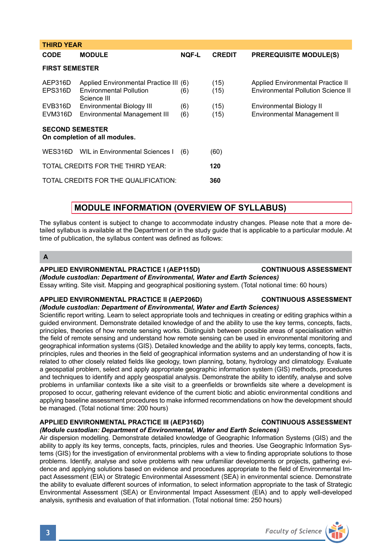| CODE                                                    | <b>MODULE</b>                                                                           | <b>NQF-L</b> | <b>CREDIT</b> | <b>PREREQUISITE MODULE(S)</b>                                                  |  |  |  |
|---------------------------------------------------------|-----------------------------------------------------------------------------------------|--------------|---------------|--------------------------------------------------------------------------------|--|--|--|
| <b>FIRST SEMESTER</b>                                   |                                                                                         |              |               |                                                                                |  |  |  |
| AEP316D<br>EPS316D                                      | Applied Environmental Practice III (6)<br><b>Environmental Pollution</b><br>Science III | (6)          | (15)<br>(15)  | Applied Environmental Practice II<br><b>Environmental Pollution Science II</b> |  |  |  |
| EVB316D<br>EVM316D                                      | Environmental Biology III<br>Environmental Management III                               | (6)<br>(6)   | (15)<br>(15)  | Environmental Biology II<br>Environmental Management II                        |  |  |  |
| <b>SECOND SEMESTER</b><br>On completion of all modules. |                                                                                         |              |               |                                                                                |  |  |  |
|                                                         | WES316D WIL in Environmental Sciences I                                                 | (6)          | (60)          |                                                                                |  |  |  |
|                                                         | TOTAL CREDITS FOR THE THIRD YEAR:                                                       |              | 120           |                                                                                |  |  |  |
|                                                         | TOTAL CREDITS FOR THE QUALIFICATION:                                                    |              | 360           |                                                                                |  |  |  |
|                                                         |                                                                                         |              |               |                                                                                |  |  |  |

# **MODULE INFORMATION (OVERVIEW OF SYLLABUS)**

The syllabus content is subject to change to accommodate industry changes. Please note that a more detailed syllabus is available at the Department or in the study guide that is applicable to a particular module. At time of publication, the syllabus content was defined as follows:

**A**

**THIRD YEAR** 

# **APPLIED ENVIRONMENTAL PRACTICE I (AEP115D) CONTINUOUS ASSESSMENT**

# *(Module custodian: Department of Environmental, Water and Earth Sciences)* Essay writing. Site visit. Mapping and geographical positioning system. (Total notional time: 60 hours)

# **APPLIED ENVIRONMENTAL PRACTICE II (AEP206D) CONTINUOUS ASSESSMENT**

*(Module custodian: Department of Environmental, Water and Earth Sciences)* Scientific report writing. Learn to select appropriate tools and techniques in creating or editing graphics within a guided environment. Demonstrate detailed knowledge of and the ability to use the key terms, concepts, facts, principles, theories of how remote sensing works. Distinguish between possible areas of specialisation within the field of remote sensing and understand how remote sensing can be used in environmental monitoring and geographical information systems (GIS). Detailed knowledge and the ability to apply key terms, concepts, facts, principles, rules and theories in the field of geographical information systems and an understanding of how it is related to other closely related fields like geology, town planning, botany, hydrology and climatology. Evaluate a geospatial problem, select and apply appropriate geographic information system (GIS) methods, procedures and techniques to identify and apply geospatial analysis. Demonstrate the ability to identify, analyse and solve problems in unfamiliar contexts like a site visit to a greenfields or brownfields site where a development is proposed to occur, gathering relevant evidence of the current biotic and abiotic environmental conditions and applying baseline assessment procedures to make informed recommendations on how the development should be managed. (Total notional time: 200 hours)

# **APPLIED ENVIRONMENTAL PRACTICE III (AEP316D) CONTINUOUS ASSESSMENT**

# *(Module custodian: Department of Environmental, Water and Earth Sciences)*

Air dispersion modelling. Demonstrate detailed knowledge of Geographic Information Systems (GIS) and the ability to apply its key terms, concepts, facts, principles, rules and theories. Use Geographic Information Systems (GIS) for the investigation of environmental problems with a view to finding appropriate solutions to those problems. Identify, analyse and solve problems with new unfamiliar developments or projects, gathering evidence and applying solutions based on evidence and procedures appropriate to the field of Environmental Impact Assessment (EIA) or Strategic Environmental Assessment (SEA) in environmental science. Demonstrate the ability to evaluate different sources of information, to select information appropriate to the task of Strategic Environmental Assessment (SEA) or Environmental Impact Assessment (EIA) and to apply well-developed analysis, synthesis and evaluation of that information. (Total notional time: 250 hours)

# **3** *Faculty of Science*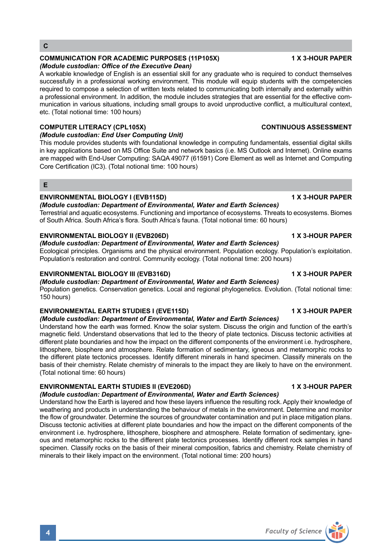# **COMMUNICATION FOR ACADEMIC PURPOSES (11P105X) 1 X 3-HOUR PAPER**

# *(Module custodian: Office of the Executive Dean)*

A workable knowledge of English is an essential skill for any graduate who is required to conduct themselves successfully in a professional working environment. This module will equip students with the competencies required to compose a selection of written texts related to communicating both internally and externally within a professional environment. In addition, the module includes strategies that are essential for the effective communication in various situations, including small groups to avoid unproductive conflict, a multicultural context, etc. (Total notional time: 100 hours)

# **COMPUTER LITERACY (CPL105X) CONTINUOUS ASSESSMENT**

# *(Module custodian: End User Computing Unit)*

This module provides students with foundational knowledge in computing fundamentals, essential digital skills in key applications based on MS Office Suite and network basics (i.e. MS Outlook and Internet). Online exams are mapped with End-User Computing: SAQA 49077 (61591) Core Element as well as Internet and Computing Core Certification (IC3). (Total notional time: 100 hours)

# **E**

# **ENVIRONMENTAL BIOLOGY I (EVB115D) 1 X 3-HOUR PAPER**

# *(Module custodian: Department of Environmental, Water and Earth Sciences)*

Terrestrial and aquatic ecosystems. Functioning and importance of ecosystems. Threats to ecosystems. Biomes of South Africa. South Africa's flora. South Africa's fauna. (Total notional time: 60 hours)

# **ENVIRONMENTAL BIOLOGY II (EVB206D)** 1 X 3-HOUR PAPER

# *(Module custodian: Department of Environmental, Water and Earth Sciences)*

Ecological principles. Organisms and the physical environment. Population ecology. Population's exploitation. Population's restoration and control. Community ecology. (Total notional time: 200 hours)

# **ENVIRONMENTAL BIOLOGY III (EVB316D)** 1 X 3-HOUR PAPER

# *(Module custodian: Department of Environmental, Water and Earth Sciences)*

Population genetics. Conservation genetics. Local and regional phylogenetics. Evolution. (Total notional time: 150 hours)

# **ENVIRONMENTAL EARTH STUDIES I (EVE115D) 1 A 3-HOUR PAPER**

# *(Module custodian: Department of Environmental, Water and Earth Sciences)*

Understand how the earth was formed. Know the solar system. Discuss the origin and function of the earth's magnetic field. Understand observations that led to the theory of plate tectonics. Discuss tectonic activities at different plate boundaries and how the impact on the different components of the environment i.e. hydrosphere, lithosphere, biosphere and atmosphere. Relate formation of sedimentary, igneous and metamorphic rocks to the different plate tectonics processes. Identify different minerals in hand specimen. Classify minerals on the basis of their chemistry. Relate chemistry of minerals to the impact they are likely to have on the environment. (Total notional time: 60 hours)

# **ENVIRONMENTAL EARTH STUDIES II (EVE206D) 1 X 3-HOUR PAPER**

# *(Module custodian: Department of Environmental, Water and Earth Sciences)*

Understand how the Earth is layered and how these layers influence the resulting rock. Apply their knowledge of weathering and products in understanding the behaviour of metals in the environment. Determine and monitor the flow of groundwater. Determine the sources of groundwater contamination and put in place mitigation plans. Discuss tectonic activities at different plate boundaries and how the impact on the different components of the environment i.e. hydrosphere, lithosphere, biosphere and atmosphere. Relate formation of sedimentary, igneous and metamorphic rocks to the different plate tectonics processes. Identify different rock samples in hand specimen. Classify rocks on the basis of their mineral composition, fabrics and chemistry. Relate chemistry of minerals to their likely impact on the environment. (Total notional time: 200 hours)

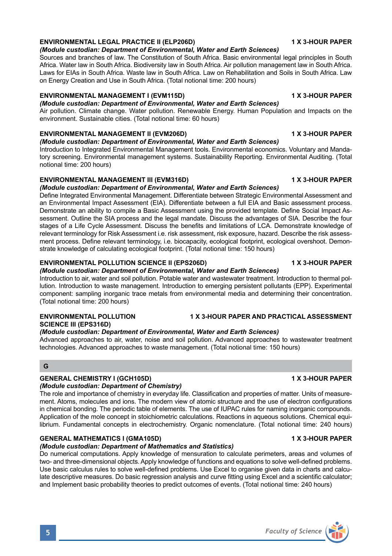# **ENVIRONMENTAL LEGAL PRACTICE II (ELP206D) 1 X 3-HOUR PAPER**

### *(Module custodian: Department of Environmental, Water and Earth Sciences)*

Sources and branches of law. The Constitution of South Africa. Basic environmental legal principles in South Africa. Water law in South Africa. Biodiversity law in South Africa. Air pollution management law in South Africa. Laws for EIAs in South Africa. Waste law in South Africa. Law on Rehabilitation and Soils in South Africa. Law on Energy Creation and Use in South Africa. (Total notional time: 200 hours)

# **ENVIRONMENTAL MANAGEMENT I (EVM115D) 1 X 3-HOUR PAPER**

*(Module custodian: Department of Environmental, Water and Earth Sciences)* Air pollution. Climate change. Water pollution. Renewable Energy. Human Population and Impacts on the environment. Sustainable cities. (Total notional time: 60 hours)

# **ENVIRONMENTAL MANAGEMENT II (EVM206D) 1 X 3-HOUR PAPER**

# *(Module custodian: Department of Environmental, Water and Earth Sciences)*

Introduction to Integrated Environmental Management tools. Environmental economics. Voluntary and Mandatory screening. Environmental management systems. Sustainability Reporting. Environmental Auditing. (Total notional time: 200 hours)

# **ENVIRONMENTAL MANAGEMENT III (EVM316D) 1 X 3-HOUR PAPER**

# *(Module custodian: Department of Environmental, Water and Earth Sciences)*

Define Integrated Environmental Management. Differentiate between Strategic Environmental Assessment and an Environmental Impact Assessment (EIA). Differentiate between a full EIA and Basic assessment process. Demonstrate an ability to compile a Basic Assessment using the provided template. Define Social Impact Assessment. Outline the SIA process and the legal mandate. Discuss the advantages of SIA. Describe the four stages of a Life Cycle Assessment. Discuss the benefits and limitations of LCA. Demonstrate knowledge of relevant terminology for Risk Assessment i.e. risk assessment, risk exposure, hazard. Describe the risk assessment process. Define relevant terminology, i.e. biocapacity, ecological footprint, ecological overshoot. Demonstrate knowledge of calculating ecological footprint. (Total notional time: 150 hours)

# **ENVIRONMENTAL POLLUTION SCIENCE II (EPS206D) 1 X 3-HOUR PAPER**

# *(Module custodian: Department of Environmental, Water and Earth Sciences)*

Introduction to air, water and soil pollution. Potable water and wastewater treatment. Introduction to thermal pollution. Introduction to waste management. Introduction to emerging persistent pollutants (EPP). Experimental component: sampling inorganic trace metals from environmental media and determining their concentration. (Total notional time: 200 hours)

# **ENVIRONMENTAL POLLUTION 1 X 3-HOUR PAPER AND PRACTICAL ASSESSMENT SCIENCE III (EPS316D)**

# *(Module custodian: Department of Environmental, Water and Earth Sciences)*

Advanced approaches to air, water, noise and soil pollution. Advanced approaches to wastewater treatment technologies. Advanced approaches to waste management. (Total notional time: 150 hours)

# **G**

# **GENERAL CHEMISTRY I (GCH105D) 1 X 3-HOUR PAPER**

# *(Module custodian: Department of Chemistry)*

The role and importance of chemistry in everyday life. Classification and properties of matter. Units of measurement. Atoms, molecules and ions. The modern view of atomic structure and the use of electron configurations in chemical bonding. The periodic table of elements. The use of IUPAC rules for naming inorganic compounds. Application of the mole concept in stoichiometric calculations. Reactions in aqueous solutions. Chemical equilibrium. Fundamental concepts in electrochemistry. Organic nomenclature. (Total notional time: 240 hours)

# **GENERAL MATHEMATICS I (GMA105D) 1 X 3-HOUR PAPER**

# *(Module custodian: Department of Mathematics and Statistics)*

Do numerical computations. Apply knowledge of mensuration to calculate perimeters, areas and volumes of two- and three-dimensional objects. Apply knowledge of functions and equations to solve well-defined problems. Use basic calculus rules to solve well-defined problems. Use Excel to organise given data in charts and calculate descriptive measures. Do basic regression analysis and curve fitting using Excel and a scientific calculator; and Implement basic probability theories to predict outcomes of events. (Total notional time: 240 hours)



# **5** *Faculty of Science*